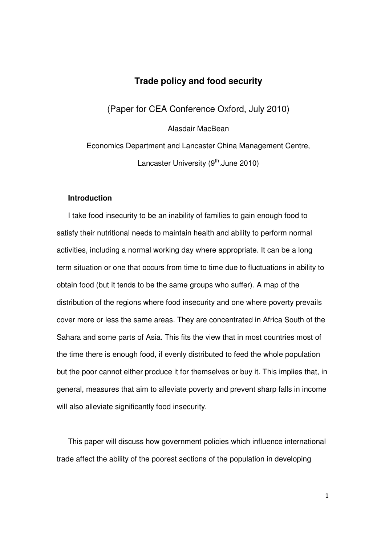# **Trade policy and food security**

(Paper for CEA Conference Oxford, July 2010)

Alasdair MacBean

Economics Department and Lancaster China Management Centre, Lancaster University  $(9<sup>th</sup>.)$  June 2010)

## **Introduction**

I take food insecurity to be an inability of families to gain enough food to satisfy their nutritional needs to maintain health and ability to perform normal activities, including a normal working day where appropriate. It can be a long term situation or one that occurs from time to time due to fluctuations in ability to obtain food (but it tends to be the same groups who suffer). A map of the distribution of the regions where food insecurity and one where poverty prevails cover more or less the same areas. They are concentrated in Africa South of the Sahara and some parts of Asia. This fits the view that in most countries most of the time there is enough food, if evenly distributed to feed the whole population but the poor cannot either produce it for themselves or buy it. This implies that, in general, measures that aim to alleviate poverty and prevent sharp falls in income will also alleviate significantly food insecurity.

This paper will discuss how government policies which influence international trade affect the ability of the poorest sections of the population in developing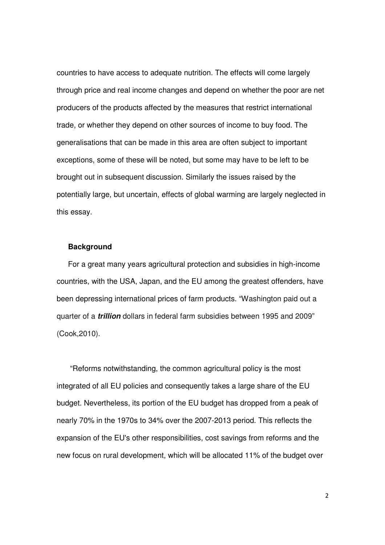countries to have access to adequate nutrition. The effects will come largely through price and real income changes and depend on whether the poor are net producers of the products affected by the measures that restrict international trade, or whether they depend on other sources of income to buy food. The generalisations that can be made in this area are often subject to important exceptions, some of these will be noted, but some may have to be left to be brought out in subsequent discussion. Similarly the issues raised by the potentially large, but uncertain, effects of global warming are largely neglected in this essay.

#### **Background**

For a great many years agricultural protection and subsidies in high-income countries, with the USA, Japan, and the EU among the greatest offenders, have been depressing international prices of farm products. "Washington paid out a quarter of a **trillion** dollars in federal farm subsidies between 1995 and 2009" (Cook,2010).

 "Reforms notwithstanding, the common agricultural policy is the most integrated of all EU policies and consequently takes a large share of the EU budget. Nevertheless, its portion of the EU budget has dropped from a peak of nearly 70% in the 1970s to 34% over the 2007-2013 period. This reflects the expansion of the EU's other responsibilities, cost savings from reforms and the new focus on rural development, which will be allocated 11% of the budget over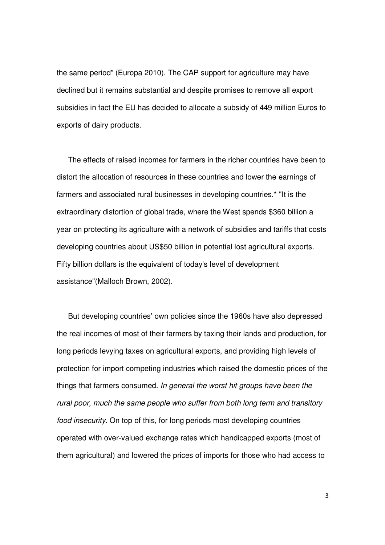the same period" (Europa 2010). The CAP support for agriculture may have declined but it remains substantial and despite promises to remove all export subsidies in fact the EU has decided to allocate a subsidy of 449 million Euros to exports of dairy products.

The effects of raised incomes for farmers in the richer countries have been to distort the allocation of resources in these countries and lower the earnings of farmers and associated rural businesses in developing countries.\* "It is the extraordinary distortion of global trade, where the West spends \$360 billion a year on protecting its agriculture with a network of subsidies and tariffs that costs developing countries about US\$50 billion in potential lost agricultural exports. Fifty billion dollars is the equivalent of today's level of development assistance"(Malloch Brown, 2002).

But developing countries' own policies since the 1960s have also depressed the real incomes of most of their farmers by taxing their lands and production, for long periods levying taxes on agricultural exports, and providing high levels of protection for import competing industries which raised the domestic prices of the things that farmers consumed. In general the worst hit groups have been the rural poor, much the same people who suffer from both long term and transitory food insecurity. On top of this, for long periods most developing countries operated with over-valued exchange rates which handicapped exports (most of them agricultural) and lowered the prices of imports for those who had access to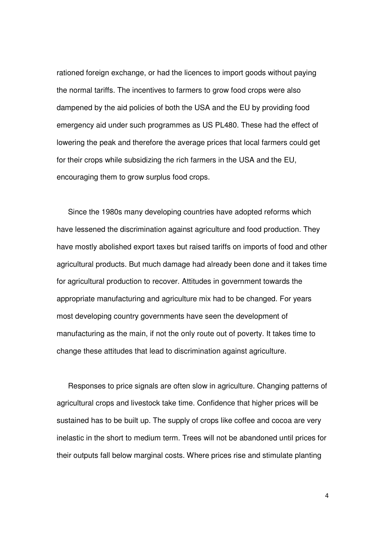rationed foreign exchange, or had the licences to import goods without paying the normal tariffs. The incentives to farmers to grow food crops were also dampened by the aid policies of both the USA and the EU by providing food emergency aid under such programmes as US PL480. These had the effect of lowering the peak and therefore the average prices that local farmers could get for their crops while subsidizing the rich farmers in the USA and the EU, encouraging them to grow surplus food crops.

Since the 1980s many developing countries have adopted reforms which have lessened the discrimination against agriculture and food production. They have mostly abolished export taxes but raised tariffs on imports of food and other agricultural products. But much damage had already been done and it takes time for agricultural production to recover. Attitudes in government towards the appropriate manufacturing and agriculture mix had to be changed. For years most developing country governments have seen the development of manufacturing as the main, if not the only route out of poverty. It takes time to change these attitudes that lead to discrimination against agriculture.

Responses to price signals are often slow in agriculture. Changing patterns of agricultural crops and livestock take time. Confidence that higher prices will be sustained has to be built up. The supply of crops like coffee and cocoa are very inelastic in the short to medium term. Trees will not be abandoned until prices for their outputs fall below marginal costs. Where prices rise and stimulate planting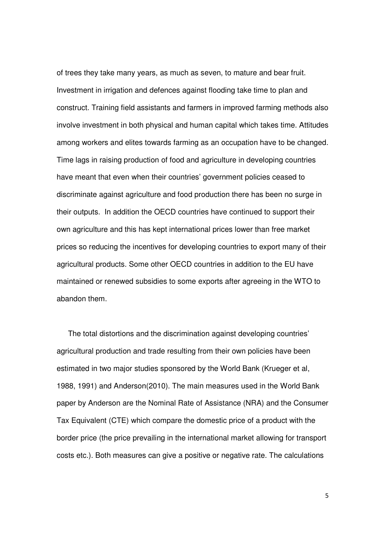of trees they take many years, as much as seven, to mature and bear fruit. Investment in irrigation and defences against flooding take time to plan and construct. Training field assistants and farmers in improved farming methods also involve investment in both physical and human capital which takes time. Attitudes among workers and elites towards farming as an occupation have to be changed. Time lags in raising production of food and agriculture in developing countries have meant that even when their countries' government policies ceased to discriminate against agriculture and food production there has been no surge in their outputs. In addition the OECD countries have continued to support their own agriculture and this has kept international prices lower than free market prices so reducing the incentives for developing countries to export many of their agricultural products. Some other OECD countries in addition to the EU have maintained or renewed subsidies to some exports after agreeing in the WTO to abandon them.

The total distortions and the discrimination against developing countries' agricultural production and trade resulting from their own policies have been estimated in two major studies sponsored by the World Bank (Krueger et al, 1988, 1991) and Anderson(2010). The main measures used in the World Bank paper by Anderson are the Nominal Rate of Assistance (NRA) and the Consumer Tax Equivalent (CTE) which compare the domestic price of a product with the border price (the price prevailing in the international market allowing for transport costs etc.). Both measures can give a positive or negative rate. The calculations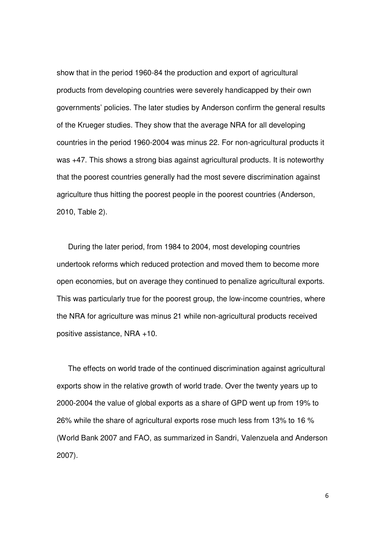show that in the period 1960-84 the production and export of agricultural products from developing countries were severely handicapped by their own governments' policies. The later studies by Anderson confirm the general results of the Krueger studies. They show that the average NRA for all developing countries in the period 1960-2004 was minus 22. For non-agricultural products it was +47. This shows a strong bias against agricultural products. It is noteworthy that the poorest countries generally had the most severe discrimination against agriculture thus hitting the poorest people in the poorest countries (Anderson, 2010, Table 2).

During the later period, from 1984 to 2004, most developing countries undertook reforms which reduced protection and moved them to become more open economies, but on average they continued to penalize agricultural exports. This was particularly true for the poorest group, the low-income countries, where the NRA for agriculture was minus 21 while non-agricultural products received positive assistance, NRA +10.

The effects on world trade of the continued discrimination against agricultural exports show in the relative growth of world trade. Over the twenty years up to 2000-2004 the value of global exports as a share of GPD went up from 19% to 26% while the share of agricultural exports rose much less from 13% to 16 % (World Bank 2007 and FAO, as summarized in Sandri, Valenzuela and Anderson 2007).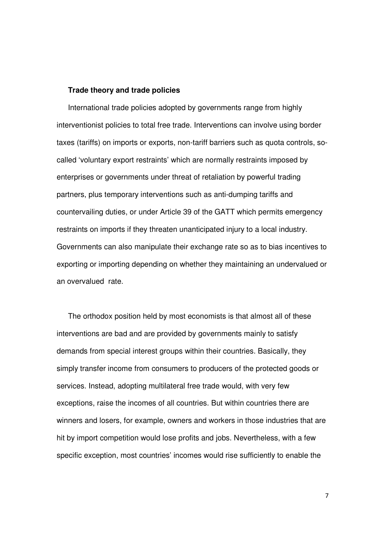#### **Trade theory and trade policies**

International trade policies adopted by governments range from highly interventionist policies to total free trade. Interventions can involve using border taxes (tariffs) on imports or exports, non-tariff barriers such as quota controls, socalled 'voluntary export restraints' which are normally restraints imposed by enterprises or governments under threat of retaliation by powerful trading partners, plus temporary interventions such as anti-dumping tariffs and countervailing duties, or under Article 39 of the GATT which permits emergency restraints on imports if they threaten unanticipated injury to a local industry. Governments can also manipulate their exchange rate so as to bias incentives to exporting or importing depending on whether they maintaining an undervalued or an overvalued rate.

The orthodox position held by most economists is that almost all of these interventions are bad and are provided by governments mainly to satisfy demands from special interest groups within their countries. Basically, they simply transfer income from consumers to producers of the protected goods or services. Instead, adopting multilateral free trade would, with very few exceptions, raise the incomes of all countries. But within countries there are winners and losers, for example, owners and workers in those industries that are hit by import competition would lose profits and jobs. Nevertheless, with a few specific exception, most countries' incomes would rise sufficiently to enable the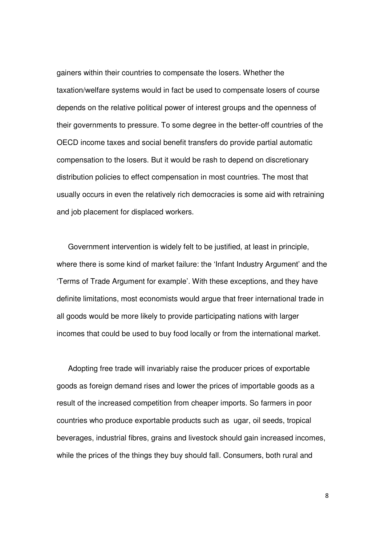gainers within their countries to compensate the losers. Whether the taxation/welfare systems would in fact be used to compensate losers of course depends on the relative political power of interest groups and the openness of their governments to pressure. To some degree in the better-off countries of the OECD income taxes and social benefit transfers do provide partial automatic compensation to the losers. But it would be rash to depend on discretionary distribution policies to effect compensation in most countries. The most that usually occurs in even the relatively rich democracies is some aid with retraining and job placement for displaced workers.

Government intervention is widely felt to be justified, at least in principle, where there is some kind of market failure: the 'Infant Industry Argument' and the 'Terms of Trade Argument for example'. With these exceptions, and they have definite limitations, most economists would argue that freer international trade in all goods would be more likely to provide participating nations with larger incomes that could be used to buy food locally or from the international market.

Adopting free trade will invariably raise the producer prices of exportable goods as foreign demand rises and lower the prices of importable goods as a result of the increased competition from cheaper imports. So farmers in poor countries who produce exportable products such as ugar, oil seeds, tropical beverages, industrial fibres, grains and livestock should gain increased incomes, while the prices of the things they buy should fall. Consumers, both rural and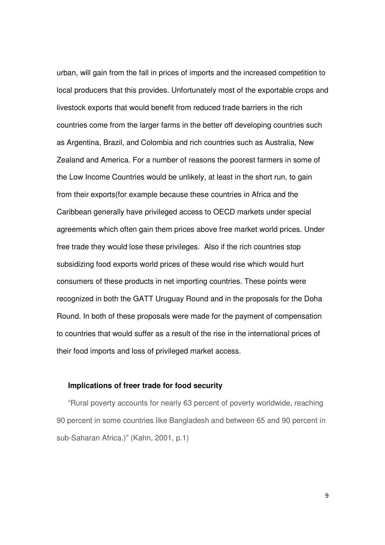urban, will gain from the fall in prices of imports and the increased competition to local producers that this provides. Unfortunately most of the exportable crops and livestock exports that would benefit from reduced trade barriers in the rich countries come from the larger farms in the better off developing countries such as Argentina, Brazil, and Colombia and rich countries such as Australia, New Zealand and America. For a number of reasons the poorest farmers in some of the Low Income Countries would be unlikely, at least in the short run, to gain from their exports(for example because these countries in Africa and the Caribbean generally have privileged access to OECD markets under special agreements which often gain them prices above free market world prices. Under free trade they would lose these privileges. Also if the rich countries stop subsidizing food exports world prices of these would rise which would hurt consumers of these products in net importing countries. These points were recognized in both the GATT Uruguay Round and in the proposals for the Doha Round. In both of these proposals were made for the payment of compensation to countries that would suffer as a result of the rise in the international prices of their food imports and loss of privileged market access.

#### **Implications of freer trade for food security**

"Rural poverty accounts for nearly 63 percent of poverty worldwide, reaching 90 percent in some countries like Bangladesh and between 65 and 90 percent in sub-Saharan Africa.)" (Kahn, 2001, p.1)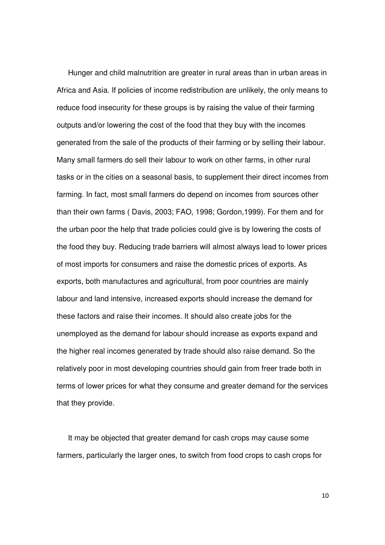Hunger and child malnutrition are greater in rural areas than in urban areas in Africa and Asia. If policies of income redistribution are unlikely, the only means to reduce food insecurity for these groups is by raising the value of their farming outputs and/or lowering the cost of the food that they buy with the incomes generated from the sale of the products of their farming or by selling their labour. Many small farmers do sell their labour to work on other farms, in other rural tasks or in the cities on a seasonal basis, to supplement their direct incomes from farming. In fact, most small farmers do depend on incomes from sources other than their own farms ( Davis, 2003; FAO, 1998; Gordon,1999). For them and for the urban poor the help that trade policies could give is by lowering the costs of the food they buy. Reducing trade barriers will almost always lead to lower prices of most imports for consumers and raise the domestic prices of exports. As exports, both manufactures and agricultural, from poor countries are mainly labour and land intensive, increased exports should increase the demand for these factors and raise their incomes. It should also create jobs for the unemployed as the demand for labour should increase as exports expand and the higher real incomes generated by trade should also raise demand. So the relatively poor in most developing countries should gain from freer trade both in terms of lower prices for what they consume and greater demand for the services that they provide.

It may be objected that greater demand for cash crops may cause some farmers, particularly the larger ones, to switch from food crops to cash crops for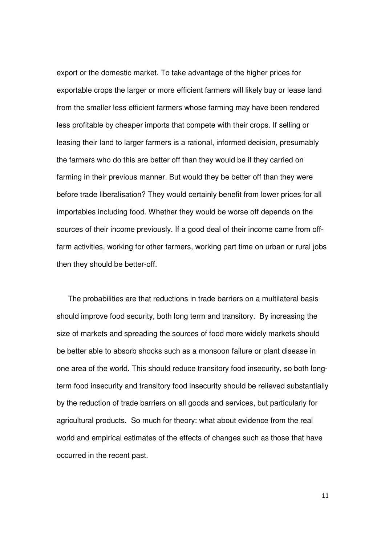export or the domestic market. To take advantage of the higher prices for exportable crops the larger or more efficient farmers will likely buy or lease land from the smaller less efficient farmers whose farming may have been rendered less profitable by cheaper imports that compete with their crops. If selling or leasing their land to larger farmers is a rational, informed decision, presumably the farmers who do this are better off than they would be if they carried on farming in their previous manner. But would they be better off than they were before trade liberalisation? They would certainly benefit from lower prices for all importables including food. Whether they would be worse off depends on the sources of their income previously. If a good deal of their income came from offfarm activities, working for other farmers, working part time on urban or rural jobs then they should be better-off.

The probabilities are that reductions in trade barriers on a multilateral basis should improve food security, both long term and transitory. By increasing the size of markets and spreading the sources of food more widely markets should be better able to absorb shocks such as a monsoon failure or plant disease in one area of the world. This should reduce transitory food insecurity, so both longterm food insecurity and transitory food insecurity should be relieved substantially by the reduction of trade barriers on all goods and services, but particularly for agricultural products. So much for theory: what about evidence from the real world and empirical estimates of the effects of changes such as those that have occurred in the recent past.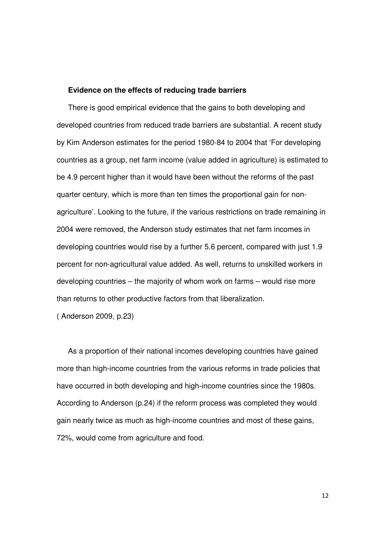#### **Evidence on the effects of reducing trade barriers**

There is good empirical evidence that the gains to both developing and developed countries from reduced trade barriers are substantial. A recent study by Kim Anderson estimates for the period 1980-84 to 2004 that 'For developing countries as a group, net farm income (value added in agriculture) is estimated to be 4.9 percent higher than it would have been without the reforms of the past quarter century, which is more than ten times the proportional gain for nonagriculture'. Looking to the future, if the various restrictions on trade remaining in 2004 were removed, the Anderson study estimates that net farm incomes in developing countries would rise by a further 5.6 percent, compared with just 1.9 percent for non-agricultural value added. As well, returns to unskilled workers in developing countries – the majority of whom work on farms – would rise more than returns to other productive factors from that liberalization.

( Anderson 2009, p.23)

As a proportion of their national incomes developing countries have gained more than high-income countries from the various reforms in trade policies that have occurred in both developing and high-income countries since the 1980s. According to Anderson (p.24) if the reform process was completed they would gain nearly twice as much as high-income countries and most of these gains, 72%, would come from agriculture and food.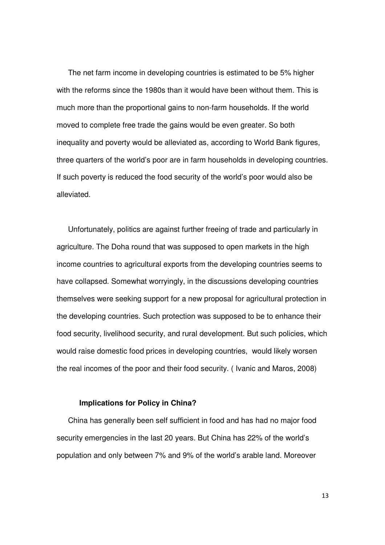The net farm income in developing countries is estimated to be 5% higher with the reforms since the 1980s than it would have been without them. This is much more than the proportional gains to non-farm households. If the world moved to complete free trade the gains would be even greater. So both inequality and poverty would be alleviated as, according to World Bank figures, three quarters of the world's poor are in farm households in developing countries. If such poverty is reduced the food security of the world's poor would also be alleviated.

Unfortunately, politics are against further freeing of trade and particularly in agriculture. The Doha round that was supposed to open markets in the high income countries to agricultural exports from the developing countries seems to have collapsed. Somewhat worryingly, in the discussions developing countries themselves were seeking support for a new proposal for agricultural protection in the developing countries. Such protection was supposed to be to enhance their food security, livelihood security, and rural development. But such policies, which would raise domestic food prices in developing countries, would likely worsen the real incomes of the poor and their food security. ( Ivanic and Maros, 2008)

#### **Implications for Policy in China?**

China has generally been self sufficient in food and has had no major food security emergencies in the last 20 years. But China has 22% of the world's population and only between 7% and 9% of the world's arable land. Moreover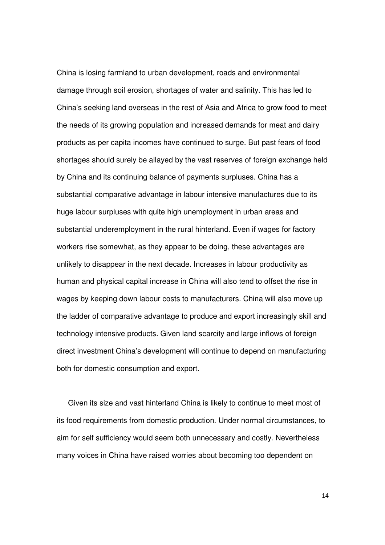China is losing farmland to urban development, roads and environmental damage through soil erosion, shortages of water and salinity. This has led to China's seeking land overseas in the rest of Asia and Africa to grow food to meet the needs of its growing population and increased demands for meat and dairy products as per capita incomes have continued to surge. But past fears of food shortages should surely be allayed by the vast reserves of foreign exchange held by China and its continuing balance of payments surpluses. China has a substantial comparative advantage in labour intensive manufactures due to its huge labour surpluses with quite high unemployment in urban areas and substantial underemployment in the rural hinterland. Even if wages for factory workers rise somewhat, as they appear to be doing, these advantages are unlikely to disappear in the next decade. Increases in labour productivity as human and physical capital increase in China will also tend to offset the rise in wages by keeping down labour costs to manufacturers. China will also move up the ladder of comparative advantage to produce and export increasingly skill and technology intensive products. Given land scarcity and large inflows of foreign direct investment China's development will continue to depend on manufacturing both for domestic consumption and export.

Given its size and vast hinterland China is likely to continue to meet most of its food requirements from domestic production. Under normal circumstances, to aim for self sufficiency would seem both unnecessary and costly. Nevertheless many voices in China have raised worries about becoming too dependent on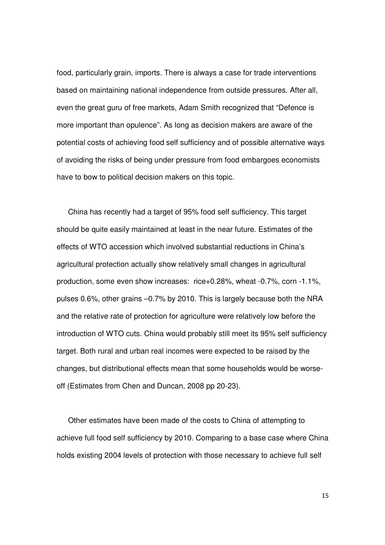food, particularly grain, imports. There is always a case for trade interventions based on maintaining national independence from outside pressures. After all, even the great guru of free markets, Adam Smith recognized that "Defence is more important than opulence". As long as decision makers are aware of the potential costs of achieving food self sufficiency and of possible alternative ways of avoiding the risks of being under pressure from food embargoes economists have to bow to political decision makers on this topic.

China has recently had a target of 95% food self sufficiency. This target should be quite easily maintained at least in the near future. Estimates of the effects of WTO accession which involved substantial reductions in China's agricultural protection actually show relatively small changes in agricultural production, some even show increases: rice+0.28%, wheat -0.7%, corn -1.1%, pulses 0.6%, other grains –0.7% by 2010. This is largely because both the NRA and the relative rate of protection for agriculture were relatively low before the introduction of WTO cuts. China would probably still meet its 95% self sufficiency target. Both rural and urban real incomes were expected to be raised by the changes, but distributional effects mean that some households would be worseoff (Estimates from Chen and Duncan, 2008 pp 20-23).

Other estimates have been made of the costs to China of attempting to achieve full food self sufficiency by 2010. Comparing to a base case where China holds existing 2004 levels of protection with those necessary to achieve full self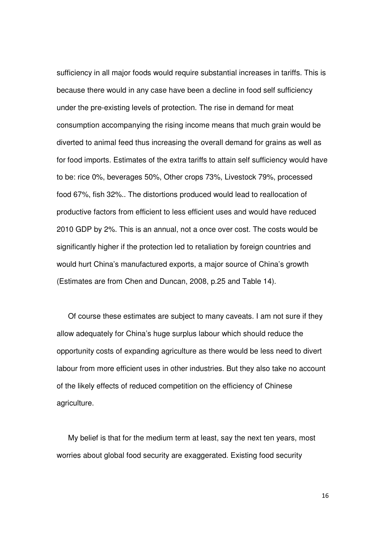sufficiency in all major foods would require substantial increases in tariffs. This is because there would in any case have been a decline in food self sufficiency under the pre-existing levels of protection. The rise in demand for meat consumption accompanying the rising income means that much grain would be diverted to animal feed thus increasing the overall demand for grains as well as for food imports. Estimates of the extra tariffs to attain self sufficiency would have to be: rice 0%, beverages 50%, Other crops 73%, Livestock 79%, processed food 67%, fish 32%.. The distortions produced would lead to reallocation of productive factors from efficient to less efficient uses and would have reduced 2010 GDP by 2%. This is an annual, not a once over cost. The costs would be significantly higher if the protection led to retaliation by foreign countries and would hurt China's manufactured exports, a major source of China's growth (Estimates are from Chen and Duncan, 2008, p.25 and Table 14).

Of course these estimates are subject to many caveats. I am not sure if they allow adequately for China's huge surplus labour which should reduce the opportunity costs of expanding agriculture as there would be less need to divert labour from more efficient uses in other industries. But they also take no account of the likely effects of reduced competition on the efficiency of Chinese agriculture.

My belief is that for the medium term at least, say the next ten years, most worries about global food security are exaggerated. Existing food security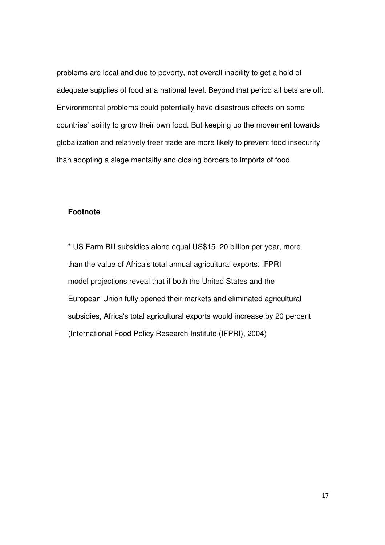problems are local and due to poverty, not overall inability to get a hold of adequate supplies of food at a national level. Beyond that period all bets are off. Environmental problems could potentially have disastrous effects on some countries' ability to grow their own food. But keeping up the movement towards globalization and relatively freer trade are more likely to prevent food insecurity than adopting a siege mentality and closing borders to imports of food.

# **Footnote**

\*.US Farm Bill subsidies alone equal US\$15–20 billion per year, more than the value of Africa's total annual agricultural exports. IFPRI model projections reveal that if both the United States and the European Union fully opened their markets and eliminated agricultural subsidies, Africa's total agricultural exports would increase by 20 percent (International Food Policy Research Institute (IFPRI), 2004)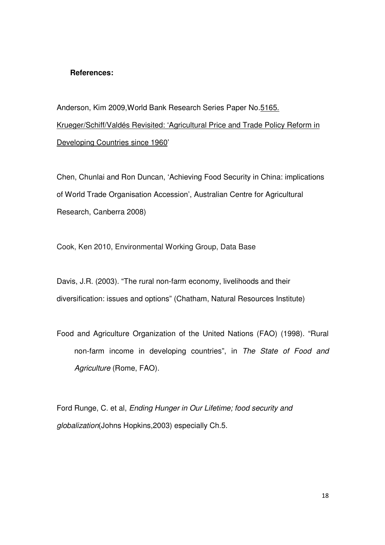### **References:**

Anderson, Kim 2009,World Bank Research Series Paper No.5165. Krueger/Schiff/Valdés Revisited: 'Agricultural Price and Trade Policy Reform in Developing Countries since 1960'

Chen, Chunlai and Ron Duncan, 'Achieving Food Security in China: implications of World Trade Organisation Accession', Australian Centre for Agricultural Research, Canberra 2008)

Cook, Ken 2010, Environmental Working Group, Data Base

Davis, J.R. (2003). "The rural non-farm economy, livelihoods and their diversification: issues and options" (Chatham, Natural Resources Institute)

Food and Agriculture Organization of the United Nations (FAO) (1998). "Rural non-farm income in developing countries", in The State of Food and Agriculture (Rome, FAO).

Ford Runge, C. et al, Ending Hunger in Our Lifetime; food security and globalization(Johns Hopkins,2003) especially Ch.5.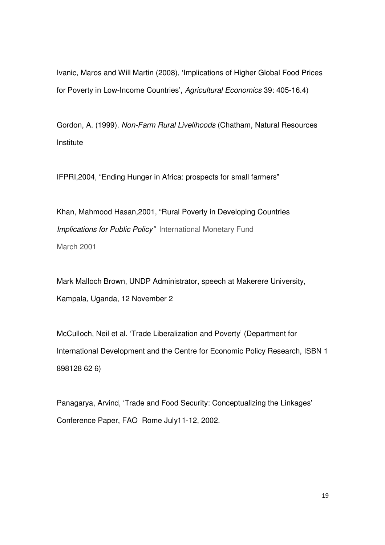Ivanic, Maros and Will Martin (2008), 'Implications of Higher Global Food Prices for Poverty in Low-Income Countries', Agricultural Economics 39: 405-16.4)

Gordon, A. (1999). Non-Farm Rural Livelihoods (Chatham, Natural Resources Institute

IFPRI,2004, "Ending Hunger in Africa: prospects for small farmers"

Khan, Mahmood Hasan,2001, "Rural Poverty in Developing Countries Implications for Public Policy" International Monetary Fund March 2001

Mark Malloch Brown, UNDP Administrator, speech at Makerere University, Kampala, Uganda, 12 November 2

McCulloch, Neil et al. 'Trade Liberalization and Poverty' (Department for International Development and the Centre for Economic Policy Research, ISBN 1 898128 62 6)

Panagarya, Arvind, 'Trade and Food Security: Conceptualizing the Linkages' Conference Paper, FAO Rome July11-12, 2002.